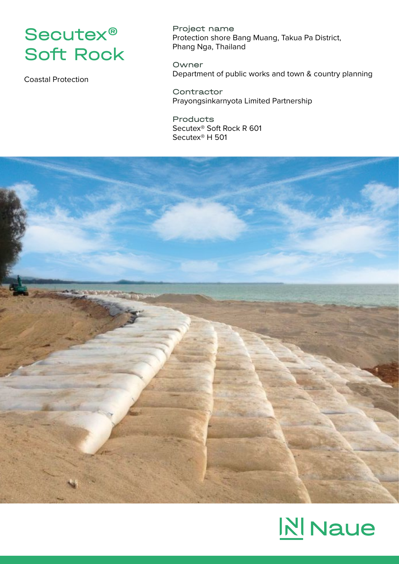## Secutex® Soft Rock

Coastal Protection

Project name Protection shore Bang Muang, Takua Pa District, Phang Nga, Thailand

Owner Department of public works and town & country planning

**Contractor** Prayongsinkarnyota Limited Partnership

**Products** Secutex® Soft Rock R 601 Secutex® H 501



# **NI** Naue